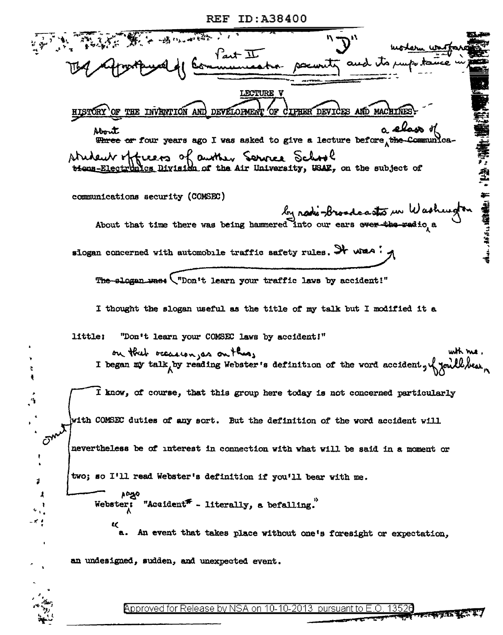| REF | ID:A38400 |  |  |  |  |  |
|-----|-----------|--|--|--|--|--|
|-----|-----------|--|--|--|--|--|

**不能在了一个人的人的人** Part II<br>muneatro LECTURE V OF THE INVENTION AND DEVELOPMENT CIPHER DEVICES AND MACHINE 'OF About Three or four years ago I was asked to give a lecture before, the Communica-Nottuers of auther Service School tions-Electronics Division of the Air University, USAR, on the subject of communications security (COMSEC) In note-broadcasts in Washington slogan concerned with automobile traffic safety rules. It was . The slogan was: ("Don't learn your traffic laws by accident!" I thought the slogan useful as the title of my talk but I modified it a "Don't learn your COMSEC laws by accident!" little: on that occasion as on this, with me.<br>I began my talk by reading Webster's definition of the vord accident, y youll bear I know, of course, that this group here today is not concerned particularly with COMSEC duties of any sort. But the definition of the word accident will nevertheless be of interest in connection with what will be said in a moment or  $\cdot$ two; so I'll read Webster's definition if you'll bear with me. ä, Webster: "Accident" - literally, a befalling." An event that takes place without one's foresight or expectation, an undesigned, sudden, and unexpected event.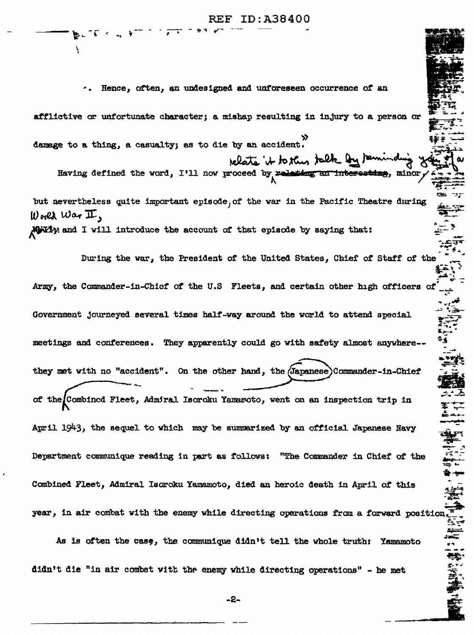### **REF ID: A38400**

Hence, often, an undesigned and unforeseen occurrence of an afflictive or unfortunate character; a mishap resulting in injury to a person or damage to a thing, a casualty; as to die by an accident. relate it to this talk on the Having defined the word. I'll now proceed by relation an interesting, minor but nevertheless quite important episode, of the war in the Pacific Theatre during  $\mathbf{u}$  ones  $\mathbf{u}$  are  $\mathbf{\overline{\mu}}$ . Movely and I will introduce the account of that episode by saying that: During the war, the President of the United States, Chief of Staff of the Army, the Commander-in-Chief of the U.S Fleets, and certain other high officers of Government journeyed several times half-way around the world to attend special meetings and conferences. They apparently could go with safety almost anywhere-they met with no "accident". On the other hand, the (Japanese) Commander-in-Chief of the Combined Fleet, Admiral Isoroku Yamawoto, went on an inspection trip in April 1943, the sequel to which may be summarized by an official Japanese Navy Department communique reading in part as follows: "The Commander in Chief of the Combined Fleet, Admiral Isoroku Yamamoto, died an heroic death in April of this year, in air combat with the enemy while directing operations from a forward position As is often the case, the communique didn't tell the whole truth: Yamamoto

didn't die "in air combat with the enemy while directing operations" - he met

-2-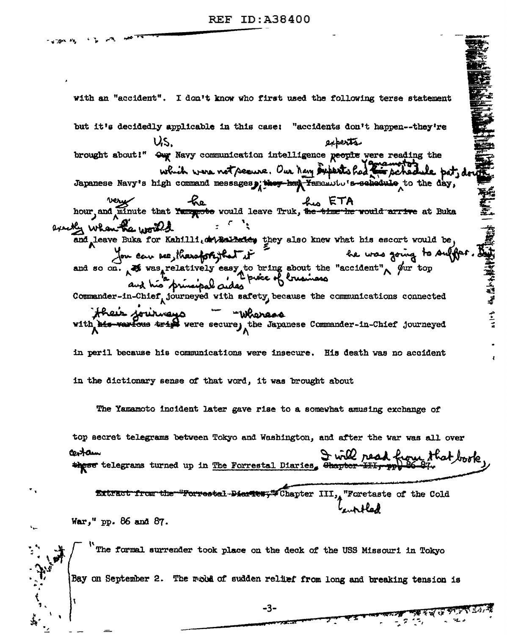with an "accident". I don't know who first used the following terse statement " " " " " " " " " " " " " " " " " " " " " " " " " " " " " " " " " " " " " " " " " " " " " " " " " " " " " " " " but it's decidedly applicable in this case: "accidents don't happen--they're US. experts brought about!" Our Navy communication intelligence people were reading the which were not secure. Our New superts had m schedule Japanese Navy's high command messages, they have help Yaramutu's schedule to the day, very fraction of the first state of the series would leave Truk, the there would arrive at Buka exactly when the world and leave Buka for Kahilli.dev Balledey they also knew what his escort would be, and so on. At was relatively easy to bring shout the "accident" of the top and so on. At was relatively easy to bring shout the "accident" of the top and his principal cuides Commander-in-Chief, journeyed with safety, because the communications connected their journage <u> "Whereos</u> warfous trips were secure, the Japanese Commander-in-Chief journeyed in peril because his communications were insecure. His death was no accident in the dictionary sense of that word, it was brought about The Yamamoto incident later gave rise to a somewhat amusing exchange of top secret telegrams between Tokyo and Washington, and after the war was all over that look the Forrestal Diaries, that the that look castam Extract from the "Forrestal Diaries," Chapter III, "Foretaste of the Cold War," pp. 86 and 87. The formal surrender took place on the deck of the USS Missouri in Tokyo Bay on September 2. The mobil of sudden relief from long and breaking tension is

-3-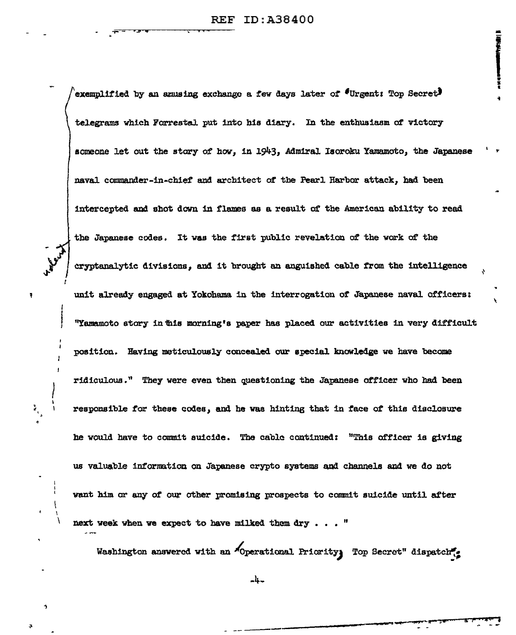exemplified by an amusing exchange a few days later of "Urgent: Top Secret" telegrams which Forrestal put into his diary. In the enthusiasm of victory someone let out the story of how, in 1943, Admiral Isoroku Yamamoto, the Japanese naval commander-in-chief and architect of the Pearl Harbor attack, had been intercepted and shot down in flames as a result of the American ability to read the Japanese codes. It was the first public revelation of the work of the cryptanalytic divisions, and it brought an anguished cable from the intelligence unit already engaged at Yokohama in the interrogation of Japanese naval officers: "Yamamoto story in this morning's paper has placed our activities in very difficult position. Having meticulously concealed our special knowledge we have become ridiculous." They were even then questioning the Japanese officer who had been responsible for these codes, and he was hinting that in face of this disclosure he would have to commit suicide. The cable continued: "This officer is giving us valuable information on Japanese crypto systems and channels and we do not want him or any of our other promising prospects to commit suicide until after next week when we expect to have milked them dry..."

Washington answered with an "Operational Priority, Top Secret" dispatch

-4-

 $\tilde{\tilde{\epsilon}}_i$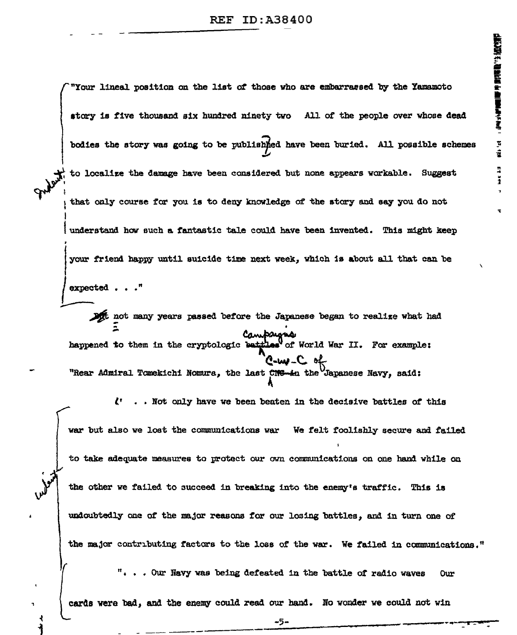"Your lineal position on the list of those who are embarrassed by the Yamamoto story is five thousand six hundred ninety two All of the people over whose dead bodies the story was going to be published have been buried. All possible schemes to localize the damage have been considered but none appears workable. Suggest that only course for you is to deny knowledge of the story and say you do not ' I understand how such a fantastic tale could have been invented. This might keep your friend happy until suicide time next week, which is about all that can be expected . . ." **1 1 b** and many years passed before the Japanese began to realize what had not many years passed before the Japan Compaigns.<br>happened to them in the cryptologic buttles of World War II. For example: **l!-Wl-C.** i "Rear Admiral Tomekichi Nomura, the last CNG-in the Japanese Navy, said: ~  $\zeta$ ' ... Not only have we been beaten in the decisive battles of this war but also we lost the communications war We felt foolishly secure and failed to take adequate measures to protect our own communications on one hand while on the other we failed to succeed in breaking into the enemy's traffic. This is undoubtedly one of the major reasons for our losing battles, and in turn one of \ the major contributing factors to the loss of the war. We failed in communications." "• • • Our Navy was beina def'eated 1n the battle *ot* radio waves OUr cards were bad, and the enemy could read our hand. No wonder we could not win <sup>1</sup>- ---- \_::•5::·~-----------.---~ .. - I-•

{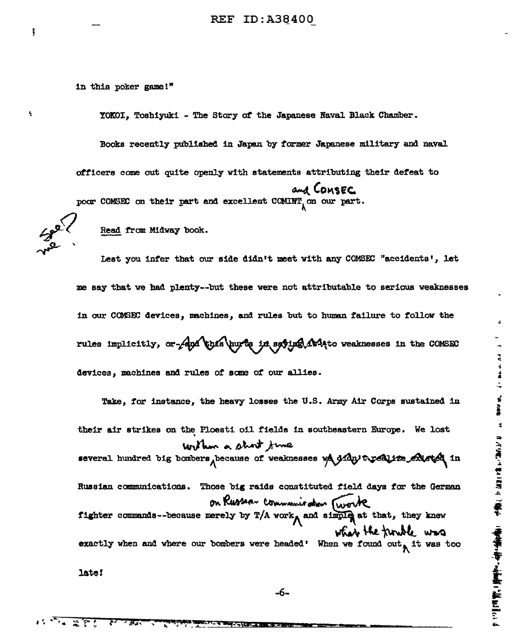in this poker game!"

YOKOI. Toshiyuki - The Story of the Japanese Naval Black Chamber.

Books recently published in Japan by former Japanese military and naval officers come out quite openly with statements attributing their defeat to and COMSEC

poor COMSEC on their part and excellent COMINT, on our part.

 $\ddot{\phantom{1}}$ 

 $\hat{\mathbf{r}}$ 

Read from Midway book.

Lest you infer that our side didn't meet with any COMSEC "accidents', let me say that we had plenty--but these were not attributable to serious weaknesses in our COMSEC devices, machines, and rules but to human failure to follow the rules implicitly, or Apa this hurte in sating Arito weaknesses in the COMSEC devices, machines and rules of some of our allies.

 $\ddot{\vec{r}}$  $\frac{4}{3}$ 

医神经 经通货

 $\ddot{\phantom{a}}$ 

Take, for instance, the heavy losses the U.S. Army Air Corps sustained in their air strikes on the Ploesti oil fields in southeastern Europe. We lost writhm a short time several hundred big bombers pecause of weaknesses we didn't realize Austel in Russian communications. Those big raids constituted field days for the German on Russeau communication Twork fighter commands--because merely by T/A work, and simple at that, they knew what the funder was exactly when and where our bombers were headed! When we found out, it was too

late!

जन्म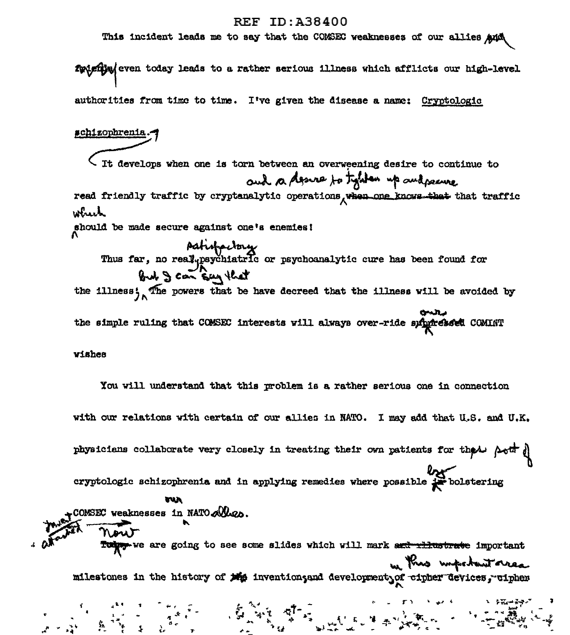#### **REF ID:A38400**

This incident leads me to say that the COMSEC weaknesses of our allies And

futurely even today leads to a rather serious illness which afflicts our high-level authorities from time to time. I've given the disease a name: Cryptologic schizophrenia. It develops when one is torn between an overweening desire to continue to and a desire to type up and pearce read friendly traffic by cryptanalytic operations when one knows that that traffic wheek should be made secure against one's enemies! pation en y a particular par particular en la been found for the illness; The powers that be have decreed that the illness will be avoided by the simple ruling that COMSEC interests will always over-ride subgreased COMINT vishes You will understand that this problem is a rather serious one in connection with our relations with certain of our allies in NATO. I may add that U.S. and U.K. physicians collaborate very closely in treating their own patients for the both of eryptologic schizophrenia and in applying remedies where possible  $\frac{2\alpha}{\alpha}$  bolstering run COMSEC weaknesses in NATO Alles. Tuber-we are going to see some slides which will mark set rilustrate important m this important area milestones in the history of the invention, and development of cipher devices, cipher

 $\frac{1}{2} \sum_{i=1}^{n} \frac{1}{2} \sum_{i=1}^{n} \frac{1}{2} \sum_{j=1}^{n} \frac{1}{2} \sum_{i=1}^{n} \frac{1}{2} \sum_{j=1}^{n} \frac{1}{2} \sum_{j=1}^{n} \frac{1}{2} \sum_{j=1}^{n} \frac{1}{2} \sum_{j=1}^{n} \frac{1}{2} \sum_{j=1}^{n} \frac{1}{2} \sum_{j=1}^{n} \frac{1}{2} \sum_{j=1}^{n} \frac{1}{2} \sum_{j=1}^{n} \frac{1}{2} \sum_{j=1}^{n$ 

 $\begin{array}{ccc} \bullet & \bullet & \bullet & \bullet \\ \bullet & \bullet & \bullet & \bullet \\ \bullet & \bullet & \bullet & \bullet \\ \bullet & \bullet & \bullet & \bullet \end{array}$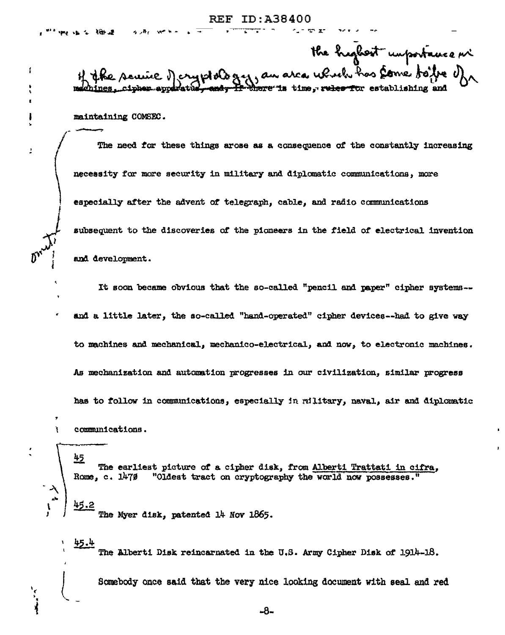ţ

À

the highest unportance in whole gry, an area up ush has some <del>If there is</del> time, rules for establishing and

maintaining COMSEC.

The need for these things arose as a consequence of the constantly increasing necessity for more security in military and diplomatic communications, more especially after the advent of telegraph, cable, and radio communications subsequent to the discoveries of the pioneers in the field of electrical invention and development.

It soon became obvious that the so-called "pencil and paper" cipher systems-and a little later, the so-called "hand-operated" cipher devices--had to give way to machines and mechanical, mechanico-electrical, and now, to electronic machines. As mechanization and automation progresses in our civilization, similar progress has to follow in communications, especially in military, naval, air and diplomatic communications.

<u>45</u> The earliest picture of a cipher disk, from Alberti Trattati in cifra, "Oldest tract on cryptography the world now possesses." Rome, c. 1470 45.2 The Myer disk, patented 14 Nov 1865.

45.4 The Alberti Disk reincarnated in the U.S. Army Cipher Disk of 1914-18.

Somebody once said that the very nice looking document with seal and red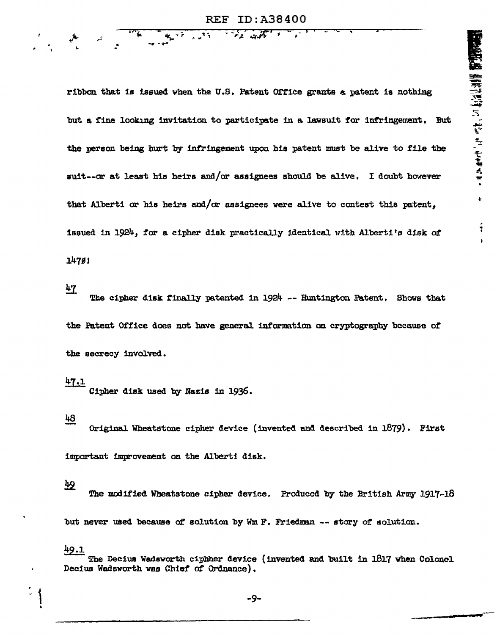ribbon that is issued when the U.S. Patent Office grants a patent is nothing but a fine looking invitation to participate in a lawsuit for infringement. But the person being hurt by infringement upon his patent must be alive to file the suit--or at least his heirs and/or assignees should be alive. I doubt however that Alberti or his heirs and/or assignees were alive to contest this patent, issued in 1924, for a cipher disk practically identical with Alberti's disk of  $14791$ 

 $47$ 

The cipher disk finally patented in 1924 -- Huntington Patent. Shows that the Patent Office does not have general information on cryptography because of the secrecy involved.

 $47.1$ 

Cipher disk used by Nazis in 1936.

 $48$ 

Original Wheatstone cipher device (invented and described in 1879). First

important improvement on the Alberti disk.

# $\frac{1}{2}$

The modified Wheatstone cipher device. Produced by the British Army 1917-18

but never used because of solution by Wm F. Friedman -- story of solution.

 $49.1$ 

t.

The Decius Wadsworth ciphher device (invented and built in 1817 when Colonel Decius Wadsworth was Chief of Ordnance).

-9-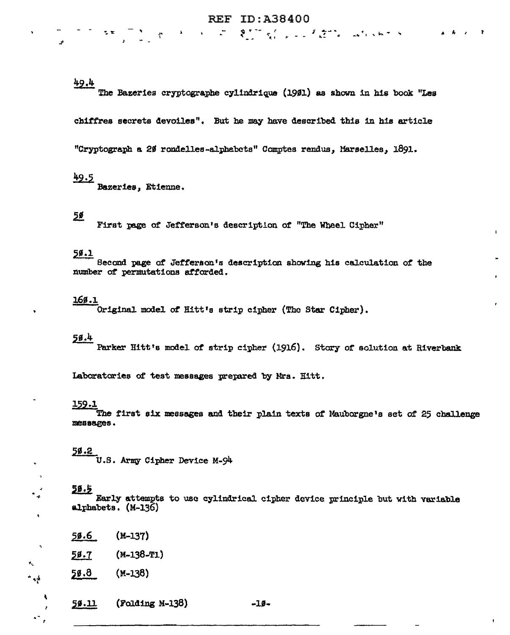$\mathcal{R} = \mathcal{R} = \mathcal{R} = \mathcal{R} = \mathcal{R} = \mathcal{R} = \mathcal{R} = \mathcal{R} = \mathcal{R} = \mathcal{R} = \mathcal{R}$ 

# 49.4

The Bazeries cryptographe cylindrique (1901) as shown in his book "Les

chiffres secrets devoiles". But he may have described this in his article

"Cryptograph a 20 rondelles-alphabets" Comptes rendus, Marselles, 1891.

# 49.5

Bazeries, Etienne.

 $\Delta$ 

#### <u>5ø</u>

First page of Jefferson's description of "The Wheel Cipher"

#### 50.1

Second page of Jefferson's description showing his calculation of the number of permutations afforded.

#### $169.1$

Original model of Hitt's strip cipher (The Star Cipher).

# $56.4$

Parker Hitt's model of strip cipher (1916). Story of solution at Riverbank

Laboratories of test messages prepared by Mrs. Hitt.

#### 159.1

The first six messages and their plain texts of Mauborgne's set of 25 challenge messages.

#### 50.2

 $\bullet$ 

 $\bullet$ 

ن<br>مو

U.S. Army Cipher Device M-94

### $50.5$

Early attempts to use cylindrical cipher device principle but with variable alphabets. (M-136)

- $59.6$ (M-137)
- 58.7 (M-138-T1)

 $50.8$  $(M-138)$ 

(Folding M-138) 59.11

 $-10-$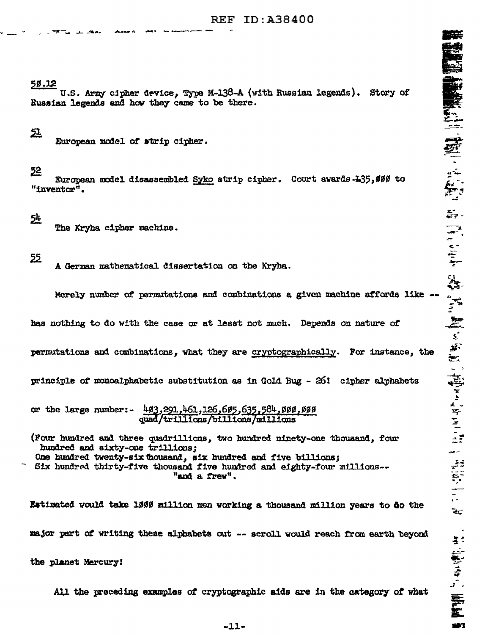# 50.12

U.S. Army cipher device, Type M-138-A (with Russian legends). Story of Russian legends and how they came to be there.

### <u>51</u>

European model of strip cipher.

### 52

European model disassembled Syko strip cipher. Court awards -135, \$00 to "inventor".

<u>54</u>

The Kryha cipher machine.

55

A German mathematical dissertation on the Kryha.

Merely number of permutations and combinations a given machine affords like

has nothing to do with the case or at least not much. Depends on nature of

permutations and combinations, what they are cryptographically. For instance, the

principle of monoalphabetic substitution as in Gold Bug - 26! cipher alphabets

or the large number: 493,291,461,126,685,635,584,589,600 quad/trillions/billions/millions

(Four hundred and three quadrillions, two hundred ninety-one thousand, four hundred and sixty-one trillions; One hundred twenty-six thousand, six hundred and five billions; Six hundred thirty-five thousand five hundred and eighty-four millions--

"and a frew".

Estimated would take 1999 million men working a thousand million years to do the major part of writing these alphabets out -- scroll would reach from earth beyond

the planet Mercury!

All the preceding examples of cryptographic aids are in the category of what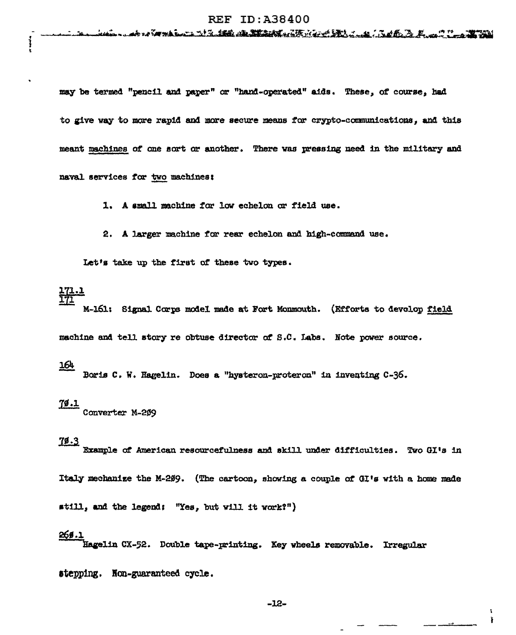may be termed "pencil and paper" or "hand-operated" aids. These, of course, had to give way to more rapid and more secure means for crypto-communications, and this meant machines of one sort or another. There was pressing need in the military and naval services for two machines:

1. A small machine for low echelon or field use.

2. A larger machine for rear echelon and high-command use.

Let's take up the first of these two types.

#### 171.1 171

M-161: Signal Corps model made at Fort Monmouth. (Efforts to devolop field machine and tell story re obtuse director of S.C. Labs. Note power source.

### 164

Boris C. W. Hagelin. Does a "hysteron-proteron" in inventing C-36.

 $\frac{79.1}{200}$  Converter M-209

### $78.3$

Example of American resourcefulness and skill under difficulties. Two GI's in

Italy mechanize the M-209. (The cartoon, showing a couple of GI's with a home made

still, and the legend: "Yes, but will it work?")

## 269.1

Hagelin CX-52. Double tape-printing. Key wheels removable. Irregular

stepping. Non-guaranteed cycle.

 $-12-$ 

ł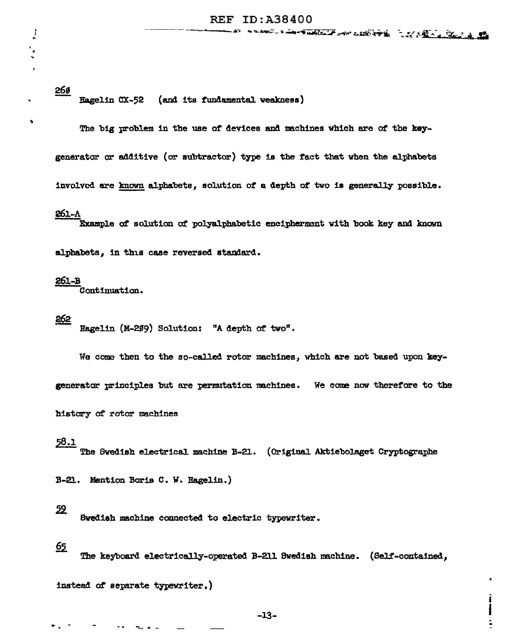268 Hagelin CX-52 (and its fundamental weakness)

The big problem in the use of devices and machines which are of the keygenerator or additive (or subtraetor) type is the tact that when the alphabets involved are known alphabets, solution of a depth of two is generally possible.

# 261-A

 $\frac{1}{2}$ 

t • ...

> Example of solution of polyalphabetic encipherment with book key and known alpbabets, in this case reversed standard.

#### 261-B

Continuation.

262 Hagelin (M-209) Solution: "A depth of two".

We come then to the so-called rotor machines, which are not based upon key-

generator principles but are permutation machines. We come now therefore to the

history ot rotor machines

### 58.1

The Swedish electrical machine B-21. (Original Aktiebolaget Cryptographe

B-21. Mention Boris C. W. Hagelin.)

52

Swedish machine connected to electric typewriter.

# 65

The keyboard electrically-operated B-211 Swedish machine. (Self-contained,

instead of separate typewriter.)

I I !<br>: .<br>2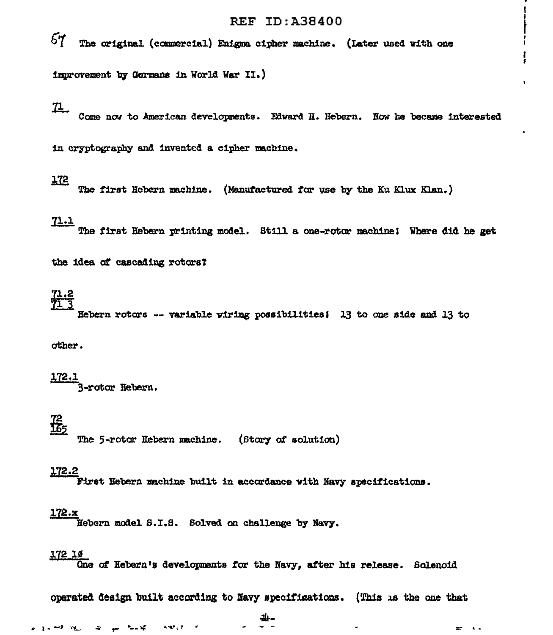### **REF ID: A38400**

 $57$ The original (commercial) Enigma cipher machine. (Later used with one

improvement by Germans in World War II.)

<u>71 - </u>

Come now to American developments. Edward H. Hebern. How he became interested

in cryptography and invented a cipher machine.

### $172$

The first Hobern machine. (Manufactured for use by the Ku Klux Klan.)

### $71.1$

The first Hebern printing model. Still a one-rotor machine; Where did he get

the idea of cascading rotors?

Hebern rotors -- variable wiring possibilities; 13 to one side and 13 to

other.

 $\frac{172.1}{3$ -rotor Hebern.

# $\frac{72}{165}$

The 5-rotor Hebern machine. (Story of solution)

#### 172.2

First Hebern machine built in accordance with Navy specifications.

#### $172.x$

Hebern model S.I.S. Solved on challenge by Navy.

#### 172 10

One of Hebern's developments for the Navy, after his release. Solenoid

operated design built according to Navy specifications. (This is the one that

 $\mathbf{r}$  $\mathbf{A}$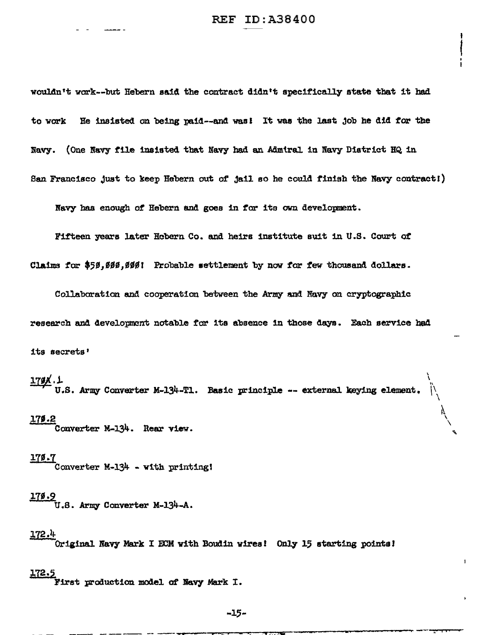wouldn't vark--but Hebern said the contract didntt specifically state that it bad to work Re insisted on being pa.id--and was! It wae the last job he did *tor* the Navy. (One Navy file insisted that Navy had an Admiral in Navy District HQ in Sen Francisco Just to keep Rebern out of jail ao he could tinisb the Navy contractl)

Navy has enough of Hebern and goes in for its own development.

Fifteen years later Rcbern Co. and heirs institute suit in U.S. Court *ot* 

Claims for \$50,000,000! Probable settlement by now for few thousand dollars.

Collaboration and cooperation between the Army and Navy on cryptographic research and development notable *tor* 1ta absence in those days. Each service had its secrets•

 $\frac{179K}{16.5}$ . Army Converter M-134-T1. Basic principle -- external keying element.

\  $\lambda$ 

I

 $\mathcal{L}$ \

I f

#### <u>170.2</u>

Converter M-134. Rear view.

 $\frac{179.7}{20}$  Converter M-134 - with printing!

# 11•·9

U.S. Army Converter M-134-A.

#### l72.4

Original Navy Mark I ECM with Boudin wires! Only 15 starting points!

#### i12.5

First production model *at* ltavy Mark I.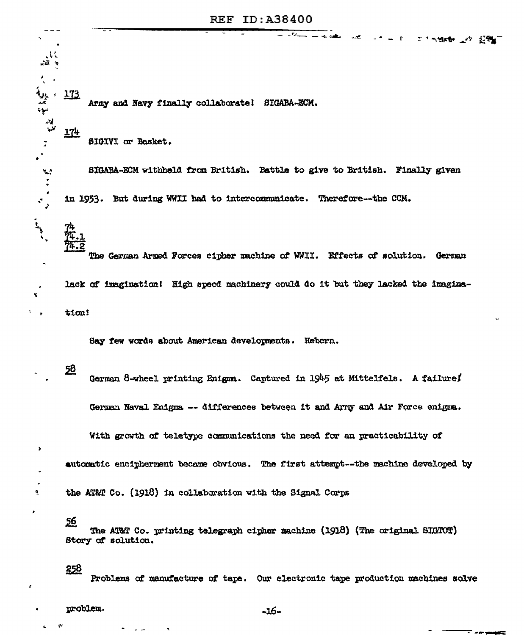كصب

工作气候静 医外 蓝霉菌

≂ -∞

Army and Navy finally collaborate! SIGABA-ECM.

**SIGIVI** or Basket.

SIGABA-ECM withheld from British. Battle to give to British. Finally given in 1953. But during WWII had to intercommunicate. Therefore--the CCM.

The German Armed Forces cipher machine of WWII. Effects of solution. German lack of imagination! High speed machinery could do it but they lacked the imagination!

Say few words about American developments. Hebern.

<u>58</u>

4 **تى** 

 $\overline{\mathbf{A}}$ 

173

**174** 

厷.,

جية

سوء الاءِ<br>الاءِ

يمية

 $\mathcal{C}$ 

 $\frac{1}{\sqrt{2}}$ 

 $\mathbf{r}$ 

 $\gamma$ 

 $\ddot{\bullet}$ 

×

German 8-wheel printing Enigma. Captured in 1945 at Mittelfels. A failure German Naval Enigma -- differences between it and Arry and Air Force enigma.

With growth of teletype communications the need for an practicability of

automatic encipherment became obvious. The first attempt--the machine developed by

the AT&T Co. (1918) in collaboration with the Signal Corps

56

The AT&T Co. printing telegraph cipher machine (1918) (The original SIGTOT) Stary of solution.

258

 $\overline{\mathbf{r}}$ 

Problems of manufacture of tape. Our electronic tape production machines solve

problem.

 $-16-$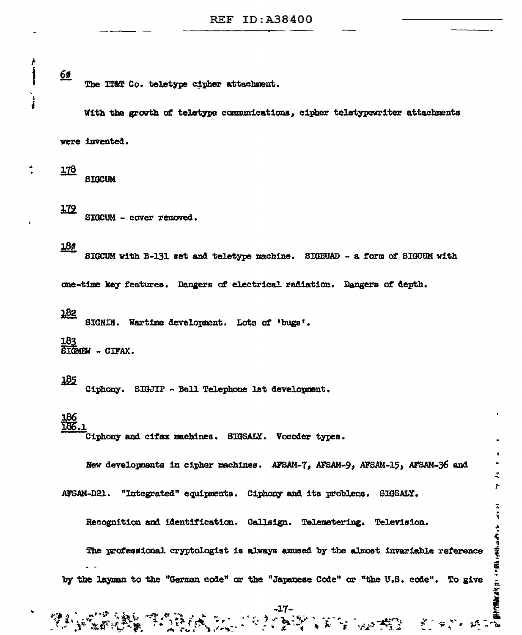#### 65 The IT&T Co. teletype cipher attachment.

With the growth of teletype communications, cipher teletypewriter attachments

were invented.

178 **SIGCUM** 

179

Ł Ì

 $\frac{1}{4}$ 

SIGCUM - cover removed.

# 180

SIGCUM with B-131 set and teletype machine. SIGHUAD - a form of SIGCUM with

one-time key features. Dangers of electrical radiation. Dangers of depth.

#### 182

SIGNIN. Wartime development. Lots of 'bugs'.

183 STOMEW - CIFAX.

# <u> 185</u>

Ciphony. SIGJIP - Bell Telephone 1st development.

**TEAR FOUR** 

# $\frac{186}{186}$ .

Ciphony and cifax machines. SIGSALY. Vocoder types.

New developments in cipher machines. AFSAM-7, AFSAM-9, AFSAM-15, AFSAM-36 and

 $\mathbf{y}$ 

Ż, ÷,

A. Subject former Hollows - Hollow Property Hollows

ទាំងខ្លួន អ្នក

"Integrated" equipments, Ciphony and its problems, SIGSALY. AFSAM-D21.

Recognition and identification. Callsign. Telemetering. Television.

The professional cryptologist is always amused by the almost invariable reference by the layman to the "German code" or the "Japanese Code" or "the U.S. code". To give

**CRAIGE WARD**